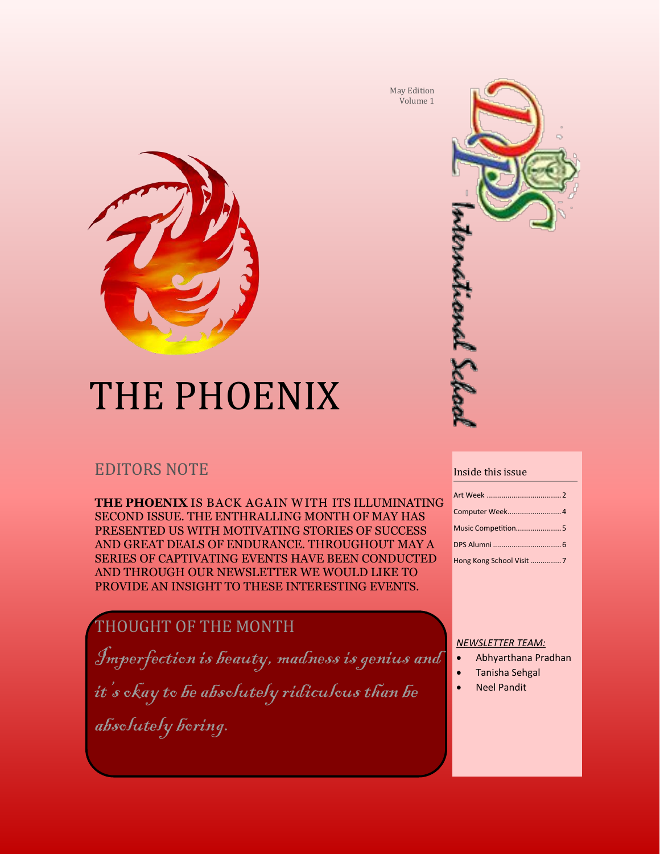

# THE PHOENIX

## EDITORS NOTE

**THE PHOENIX** IS BACK AGAIN W ITH ITS ILLUMINATING SECOND ISSUE. THE ENTHRALLING MONTH OF MAY HAS PRESENTED US WITH MOTIVATING STORIES OF SUCCESS AND GREAT DEALS OF ENDURANCE. THROUGHOUT MAY A SERIES OF CAPTIVATING EVENTS HAVE BEEN CONDUCTED AND THROUGH OUR NEWSLETTER WE WOULD LIKE TO PROVIDE AN INSIGHT TO THESE INTERESTING EVENTS.

## THOUGHT OF THE MONTH

Imperfection is beauty, madness is genius and

it's okay to be absolutely ridiculous than be

absolutely boring.

May Edition Volume 1



#### Inside this issue

| Computer Week4     |
|--------------------|
| Music Competition5 |
|                    |
|                    |

#### *NEWSLETTER TEAM:*

- Abhyarthana Pradhan
- Tanisha Sehgal
- Neel Pandit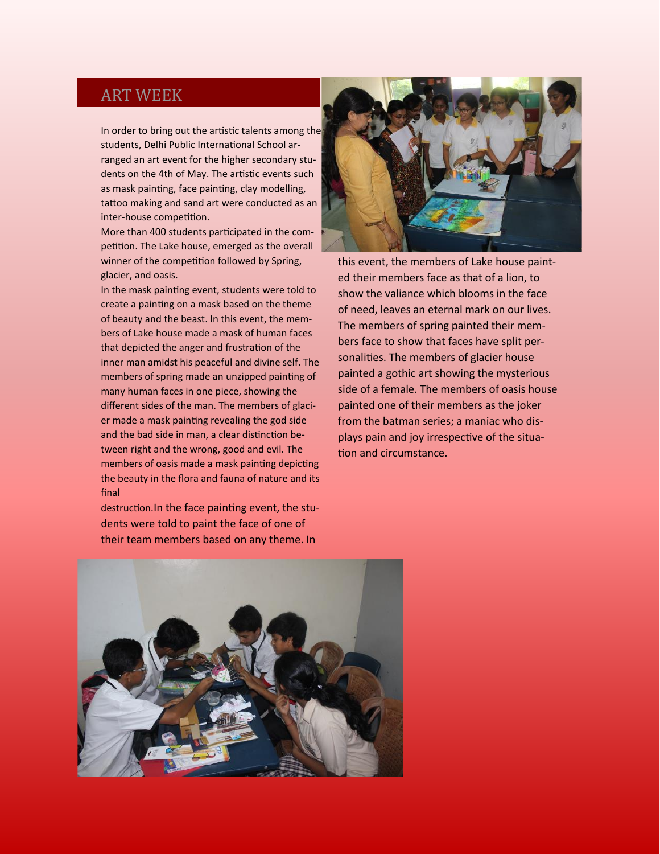#### ART WEEK

In order to bring out the artistic talents among the students, Delhi Public International School arranged an art event for the higher secondary students on the 4th of May. The artistic events such as mask painting, face painting, clay modelling, tattoo making and sand art were conducted as an inter-house competition.

More than 400 students participated in the competition. The Lake house, emerged as the overall winner of the competition followed by Spring, glacier, and oasis.

In the mask painting event, students were told to create a painting on a mask based on the theme of beauty and the beast. In this event, the members of Lake house made a mask of human faces that depicted the anger and frustration of the inner man amidst his peaceful and divine self. The members of spring made an unzipped painting of many human faces in one piece, showing the different sides of the man. The members of glacier made a mask painting revealing the god side and the bad side in man, a clear distinction between right and the wrong, good and evil. The members of oasis made a mask painting depicting the beauty in the flora and fauna of nature and its final

destruction.In the face painting event, the students were told to paint the face of one of their team members based on any theme. In



this event, the members of Lake house painted their members face as that of a lion, to show the valiance which blooms in the face of need, leaves an eternal mark on our lives. The members of spring painted their members face to show that faces have split personalities. The members of glacier house painted a gothic art showing the mysterious side of a female. The members of oasis house painted one of their members as the joker from the batman series; a maniac who displays pain and joy irrespective of the situation and circumstance.

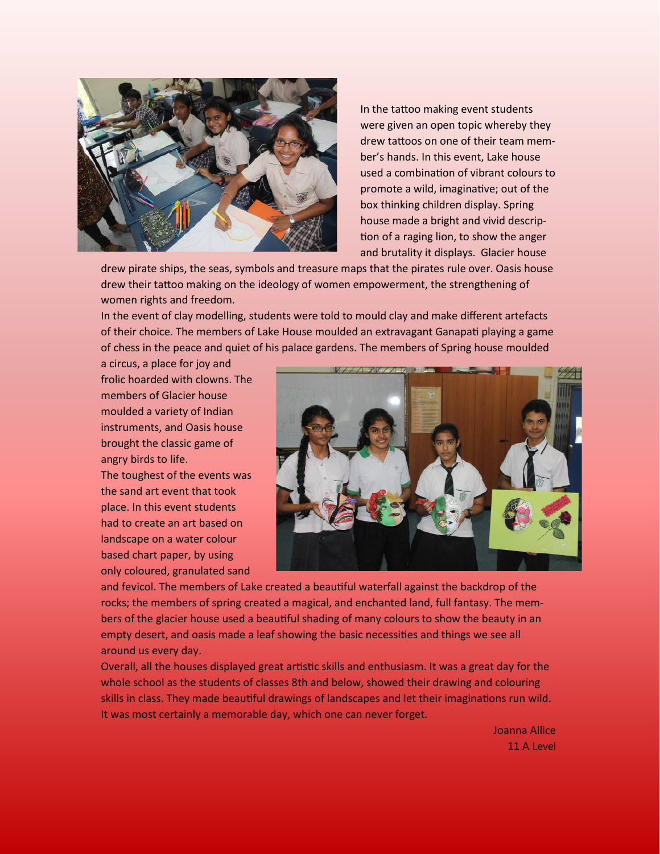

In the tattoo making event students were given an open topic whereby they drew tattoos on one of their team member's hands. In this event, Lake house used a combination of vibrant colours to promote a wild, imaginative; out of the box thinking children display. Spring house made a bright and vivid description of a raging lion, to show the anger and brutality it displays. Glacier house

drew pirate ships, the seas, symbols and treasure maps that the pirates rule over. Oasis house drew their tattoo making on the ideology of women empowerment, the strengthening of women rights and freedom.

In the event of clay modelling, students were told to mould clay and make different artefacts of their choice. The members of Lake House moulded an extravagant Ganapati playing a game of chess in the peace and quiet of his palace gardens. The members of Spring house moulded

a circus, a place for joy and frolic hoarded with clowns. The members of Glacier house moulded a variety of Indian instruments, and Oasis house brought the classic game of angry birds to life. The toughest of the events was the sand art event that took place. In this event students had to create an art based on landscape on a water colour based chart paper, by using only coloured, granulated sand



and fevicol. The members of Lake created a beautiful waterfall against the backdrop of the rocks; the members of spring created a magical, and enchanted land, full fantasy. The members of the glacier house used a beautiful shading of many colours to show the beauty in an empty desert, and oasis made a leaf showing the basic necessities and things we see all around us every day.

Overall, all the houses displayed great artistic skills and enthusiasm. It was a great day for the whole school as the students of classes 8th and below, showed their drawing and colouring skills in class. They made beautiful drawings of landscapes and let their imaginations run wild. It was most certainly a memorable day, which one can never forget.

> Joanna Allice 11 A Level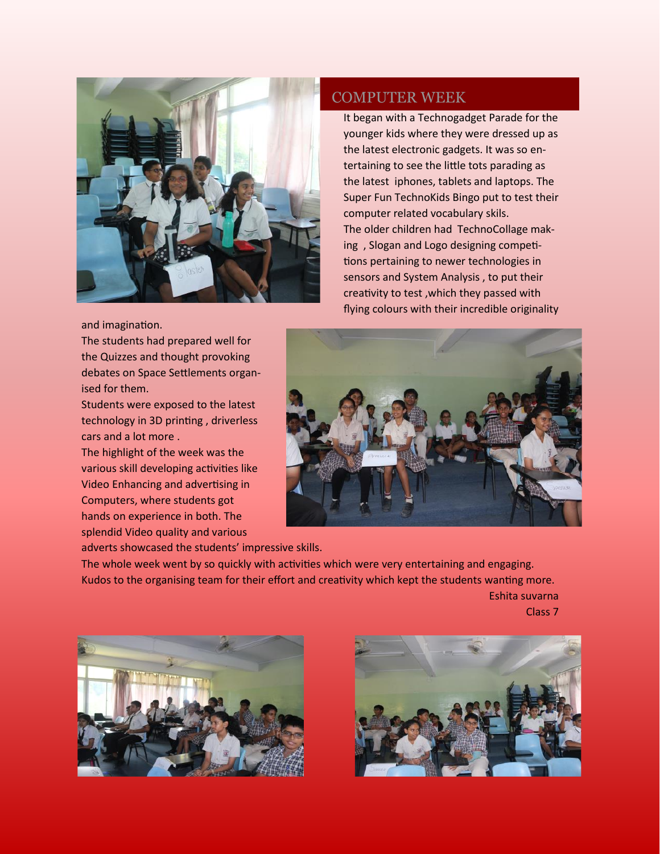

and imagination.

The students had prepared well for the Quizzes and thought provoking debates on Space Settlements organised for them.

Students were exposed to the latest technology in 3D printing , driverless cars and a lot more .

The highlight of the week was the various skill developing activities like Video Enhancing and advertising in Computers, where students got hands on experience in both. The splendid Video quality and various

adverts showcased the students' impressive skills.

#### COMPUTER WEEK

It began with a Technogadget Parade for the younger kids where they were dressed up as the latest electronic gadgets. It was so entertaining to see the little tots parading as the latest iphones, tablets and laptops. The Super Fun TechnoKids Bingo put to test their computer related vocabulary skils. The older children had TechnoCollage making , Slogan and Logo designing competitions pertaining to newer technologies in sensors and System Analysis , to put their creativity to test ,which they passed with flying colours with their incredible originality



The whole week went by so quickly with activities which were very entertaining and engaging. Kudos to the organising team for their effort and creativity which kept the students wanting more. Eshita suvarna

Class 7

![](_page_3_Picture_11.jpeg)

![](_page_3_Picture_12.jpeg)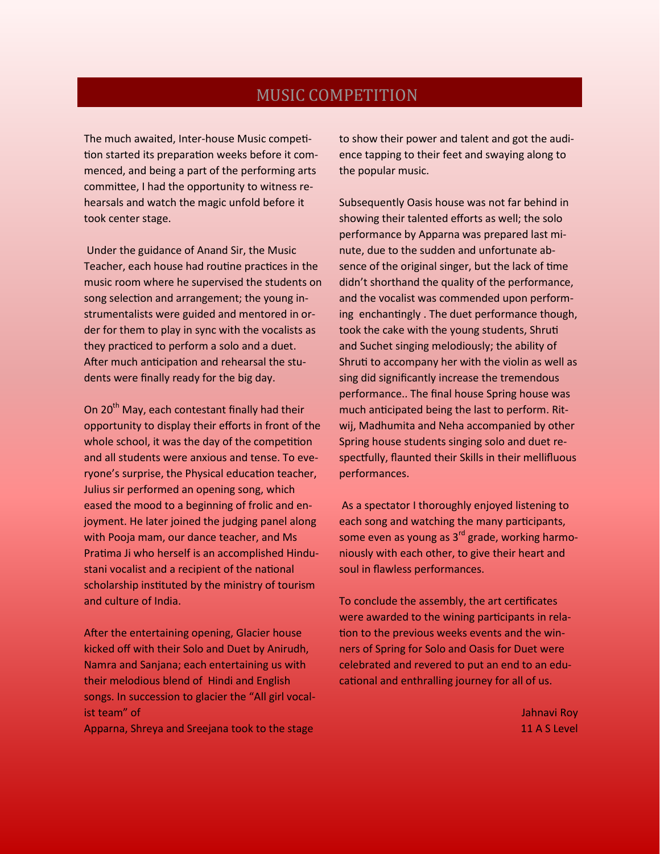### MUSIC COMPETITION

The much awaited, Inter-house Music competition started its preparation weeks before it commenced, and being a part of the performing arts committee, I had the opportunity to witness rehearsals and watch the magic unfold before it took center stage.

Under the guidance of Anand Sir, the Music Teacher, each house had routine practices in the music room where he supervised the students on song selection and arrangement; the young instrumentalists were guided and mentored in order for them to play in sync with the vocalists as they practiced to perform a solo and a duet. After much anticipation and rehearsal the students were finally ready for the big day.

On 20<sup>th</sup> May, each contestant finally had their opportunity to display their efforts in front of the whole school, it was the day of the competition and all students were anxious and tense. To everyone's surprise, the Physical education teacher, Julius sir performed an opening song, which eased the mood to a beginning of frolic and enjoyment. He later joined the judging panel along with Pooja mam, our dance teacher, and Ms Pratima Ji who herself is an accomplished Hindustani vocalist and a recipient of the national scholarship instituted by the ministry of tourism and culture of India.

After the entertaining opening, Glacier house kicked off with their Solo and Duet by Anirudh, Namra and Sanjana; each entertaining us with their melodious blend of Hindi and English songs. In succession to glacier the "All girl vocalist team" of

Apparna, Shreya and Sreejana took to the stage

to show their power and talent and got the audience tapping to their feet and swaying along to the popular music.

Subsequently Oasis house was not far behind in showing their talented efforts as well; the solo performance by Apparna was prepared last minute, due to the sudden and unfortunate absence of the original singer, but the lack of time didn't shorthand the quality of the performance, and the vocalist was commended upon performing enchantingly . The duet performance though, took the cake with the young students, Shruti and Suchet singing melodiously; the ability of Shruti to accompany her with the violin as well as sing did significantly increase the tremendous performance.. The final house Spring house was much anticipated being the last to perform. Ritwij, Madhumita and Neha accompanied by other Spring house students singing solo and duet respectfully, flaunted their Skills in their mellifluous performances.

As a spectator I thoroughly enjoyed listening to each song and watching the many participants, some even as young as  $3^{rd}$  grade, working harmoniously with each other, to give their heart and soul in flawless performances.

To conclude the assembly, the art certificates were awarded to the wining participants in relation to the previous weeks events and the winners of Spring for Solo and Oasis for Duet were celebrated and revered to put an end to an educational and enthralling journey for all of us.

> Jahnavi Roy 11 A S Level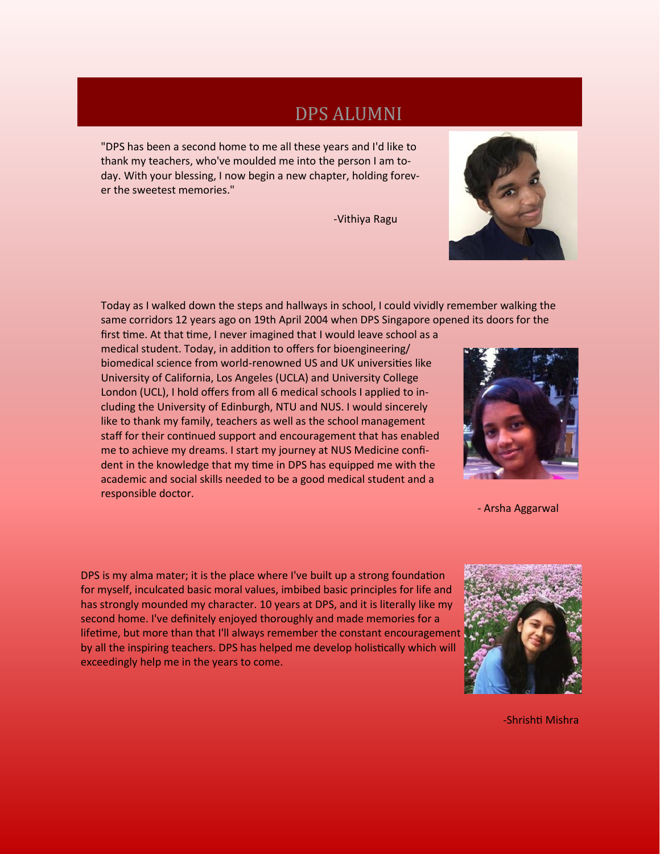# DPS ALUMNI

"DPS has been a second home to me all these years and I'd like to thank my teachers, who've moulded me into the person I am today. With your blessing, I now begin a new chapter, holding forever the sweetest memories."

-Vithiya Ragu

![](_page_5_Picture_3.jpeg)

first time. At that time, I never imagined that I would leave school as a medical student. Today, in addition to offers for bioengineering/ biomedical science from world-renowned US and UK universities like University of California, Los Angeles (UCLA) and University College London (UCL), I hold offers from all 6 medical schools I applied to including the University of Edinburgh, NTU and NUS. I would sincerely like to thank my family, teachers as well as the school management staff for their continued support and encouragement that has enabled me to achieve my dreams. I start my journey at NUS Medicine confident in the knowledge that my time in DPS has equipped me with the academic and social skills needed to be a good medical student and a responsible doctor.

DPS is my alma mater; it is the place where I've built up a strong foundation for myself, inculcated basic moral values, imbibed basic principles for life and has strongly mounded my character. 10 years at DPS, and it is literally like my second home. I've definitely enjoyed thoroughly and made memories for a lifetime, but more than that I'll always remember the constant encouragement by all the inspiring teachers. DPS has helped me develop holistically which will exceedingly help me in the years to come.

![](_page_5_Picture_6.jpeg)

-Shrishti Mishra

![](_page_5_Picture_8.jpeg)

- Arsha Aggarwal

![](_page_5_Picture_10.jpeg)